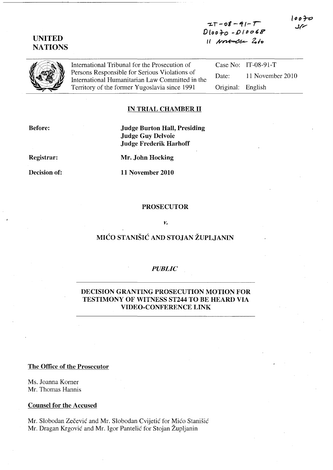# UNITED **NATIONS**

 $IT-08-91-7$  $D$ loo 70 - 010068 */l* t1r~64- *Zio* 

International Tribunal for the Prosecution of Persons Responsible for Serious Violations of International Humanitarian Law Committed in the Territory of the former Yugoslavia since 1991

Case No: IT-08-91-T Date: 11 November 2010 Original: English

### IN TRIAL CHAMBER II

Before:

Judge Burton Hall, Presiding Judge Guy Delvoie Judge Frederik Harhoff

Registrar:

Decision of:

Mr. John Hocking

11 November 2010

#### PROSECUTOR

#### *v.*

# MICO STANISIC AND STOJAN ZUPLJANIN

# *PUBLIC*

## DECISION GRANTING PROSECUTION MOTION FOR TESTIMONY OF WITNESS ST244 TO BE HEARD VIA VIDEO-CONFERENCE LINK

### The Office of the Prosecutor

Ms. Joanna Korner Mr. Thomas Hannis

### Counsel for the Accused

Mr. Slobodan Zečević and Mr. Slobodan Cvijetić for Mićo Stanišić Mr. Dragan Krgovic and Mr. Igor Pantelic for Stojan Zupljanin

ののみ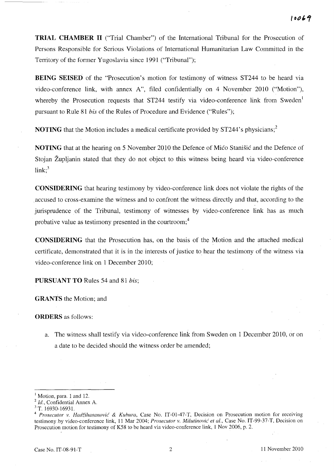**TRIAL CHAMBER 11** ("Trial Chamber") of the International Tribunal for the Prosecution of Persons Responsible for Serious Violations of International Humanitarian Law Committed in the Territory of the former Yugoslavia since 1991 ("Tribunal");

**BEING SEISED** of the "Prosecution's motion for testimony of witness ST244 to be heard via video-conference link, with annex A", filed confidentially on 4 November 2010 ("Motion"), whereby the Prosecution requests that ST244 testify via video-conference link from Sweden<sup>1</sup> pursuant to Rule 81 *his* of the Rules of Procedure and Evidence ("Rules");

**NOTING** that the Motion includes a medical certificate provided by ST244's physicians;<sup>2</sup>

**NOTING** that at the hearing on 5 November 2010 the Defence of Mico Stanišic and the Defence of Stojan Zupljanin stated that they do not object to this witness being heard via video-conference  $link:$ <sup>3</sup>

**CONSIDERING** that hearing testimony by video-conference link does not violate the rights of the . accused to cross-examine the witness and to confront the witness directly and that, according to the jurisprudence of the Tribunal, testimony of witnesses by video-conference link has as much probative value as testimony presented in the courtroom;<sup>4</sup>

**CONSIDERING** that the Prosecution has, on the basis of the Motion and the attached medical certificate, demonstrated that it is in the interests of justice to hear the testimony of the witness via video-conference link on 1 December 2010;

**PURSUANT TO** Rules 54 and 81 *his;* 

**GRANTS** the Motion; and

**ORDERS** as follows:

a. The witness shall testify via video-conference link from Sweden on 1 December 2010, or on a date to be decided should the witness order be amended;

 $<sup>1</sup>$  Motion, para. 1 and 12.</sup>

*<sup>2</sup> Id.,* Confidential Annex A.

<sup>&</sup>lt;sup>3</sup> T. 16930-16931.

*<sup>4</sup> Prosecutor v. Hadiihasanovic* & *Kuhura,* Case No. IT-01-47-T, Decision on Prosecution motion for receiving testimony.by video-conference link, 11 Mar 2004; *Prosecutor v. Milutinovic et al.,* Case No. IT-99-37-T, Decision on Prosecution motion for testimony of K58 to be heard via video-conference link, 1 Nov 2006, p. 2.